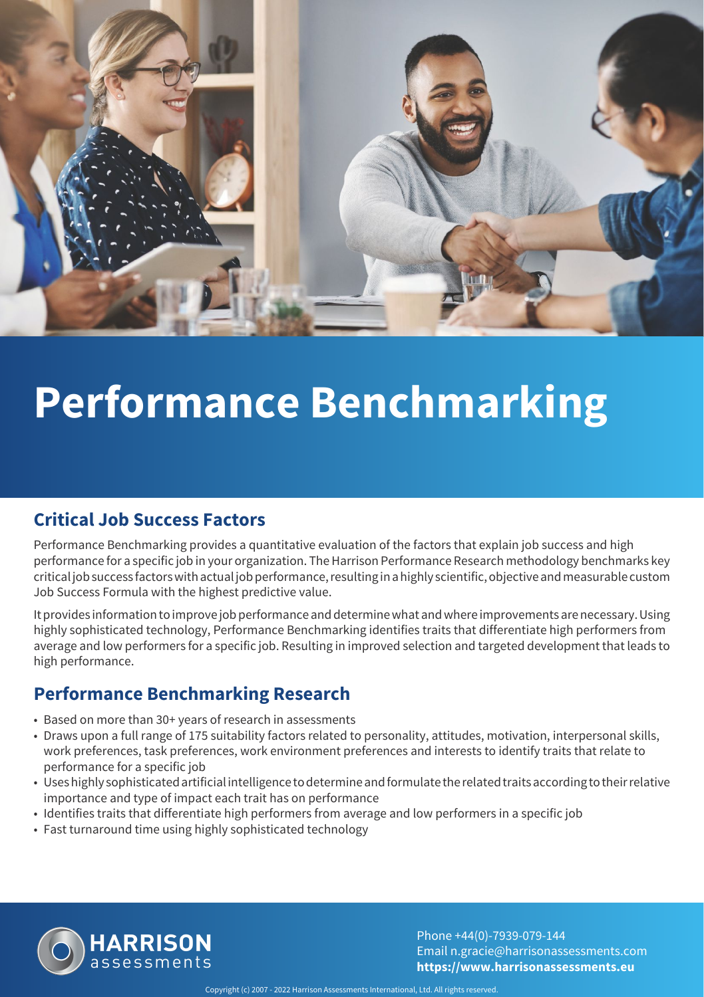

## **Performance Benchmarking**

### **Critical Job Success Factors**

Performance Benchmarking provides a quantitative evaluation of the factors that explain job success and high performance for a specific job in your organization. The Harrison Performance Research methodology benchmarks key critical job success factors with actual job performance, resulting in a highly scientific, objective and measurable custom Job Success Formula with the highest predictive value.

It provides information to improve job performance and determine what and where improvements are necessary. Using highly sophisticated technology, Performance Benchmarking identifies traits that differentiate high performers from average and low performers for a specific job. Resulting in improved selection and targeted development that leads to high performance.

#### **Performance Benchmarking Research**

- Based on more than 30+ years of research in assessments
- Draws upon a full range of 175 suitability factors related to personality, attitudes, motivation, interpersonal skills, work preferences, task preferences, work environment preferences and interests to identify traits that relate to performance for a specific job
- Uses highly sophisticated artificial intelligence to determine and formulate the related traits according to their relative importance and type of impact each trait has on performance
- Identifies traits that differentiate high performers from average and low performers in a specific job
- Fast turnaround time using highly sophisticated technology



Phone +44(0)-7939-079-144 Email n.gracie@harrisonassessments.com **https://www.harrisonassessments.eu**